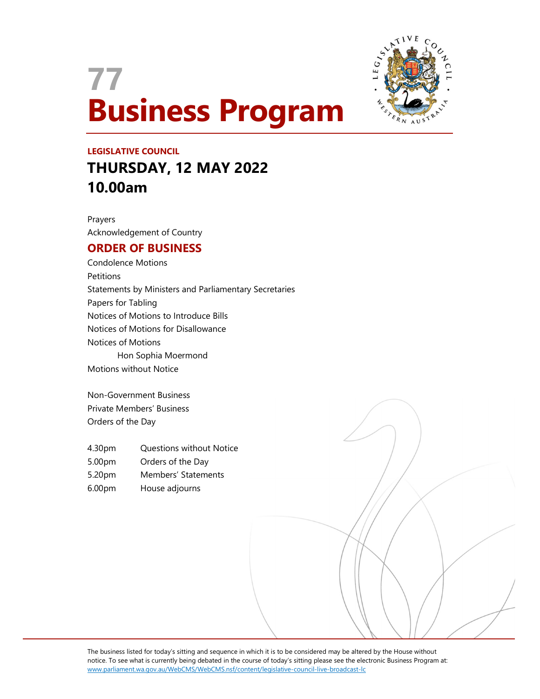



# LEGISLATIVE COUNCIL THURSDAY, 12 MAY 2022 10.00am

Prayers Acknowledgement of Country

# ORDER OF BUSINESS

Condolence Motions **Petitions** Statements by Ministers and Parliamentary Secretaries Papers for Tabling Notices of Motions to Introduce Bills Notices of Motions for Disallowance Notices of Motions Hon Sophia Moermond Motions without Notice

Non-Government Business Private Members' Business Orders of the Day

- 4.30pm Questions without Notice
- 5.00pm Orders of the Day
- 5.20pm Members' Statements
- 6.00pm House adjourns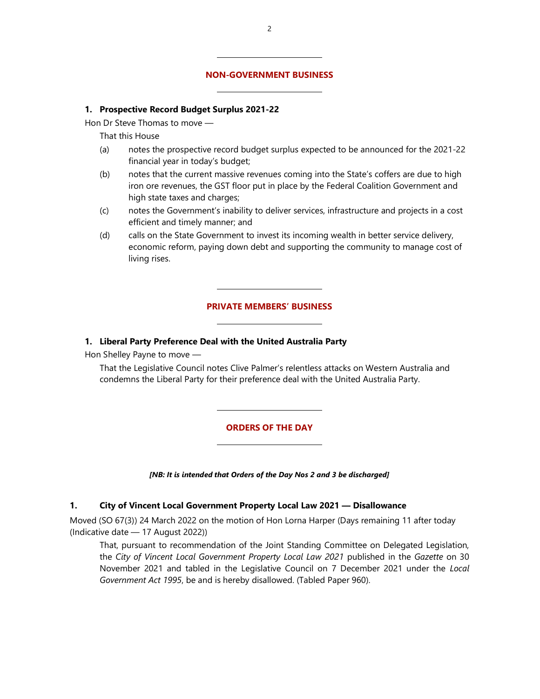#### NON-GOVERNMENT BUSINESS

#### 1. Prospective Record Budget Surplus 2021-22

 $\overline{a}$ 

Hon Dr Steve Thomas to move —

That this House

- (a) notes the prospective record budget surplus expected to be announced for the 2021-22 financial year in today's budget;
- (b) notes that the current massive revenues coming into the State's coffers are due to high iron ore revenues, the GST floor put in place by the Federal Coalition Government and high state taxes and charges;
- (c) notes the Government's inability to deliver services, infrastructure and projects in a cost efficient and timely manner; and
- (d) calls on the State Government to invest its incoming wealth in better service delivery, economic reform, paying down debt and supporting the community to manage cost of living rises.

#### PRIVATE MEMBERS' BUSINESS

#### 1. Liberal Party Preference Deal with the United Australia Party

 $\overline{a}$ 

Hon Shelley Payne to move —

 That the Legislative Council notes Clive Palmer's relentless attacks on Western Australia and condemns the Liberal Party for their preference deal with the United Australia Party.

#### ORDERS OF THE DAY

[NB: It is intended that Orders of the Day Nos 2 and 3 be discharged]

#### 1. City of Vincent Local Government Property Local Law 2021 — Disallowance

Moved (SO 67(3)) 24 March 2022 on the motion of Hon Lorna Harper (Days remaining 11 after today (Indicative date — 17 August 2022))

That, pursuant to recommendation of the Joint Standing Committee on Delegated Legislation, the City of Vincent Local Government Property Local Law 2021 published in the Gazette on 30 November 2021 and tabled in the Legislative Council on 7 December 2021 under the Local Government Act 1995, be and is hereby disallowed. (Tabled Paper 960).